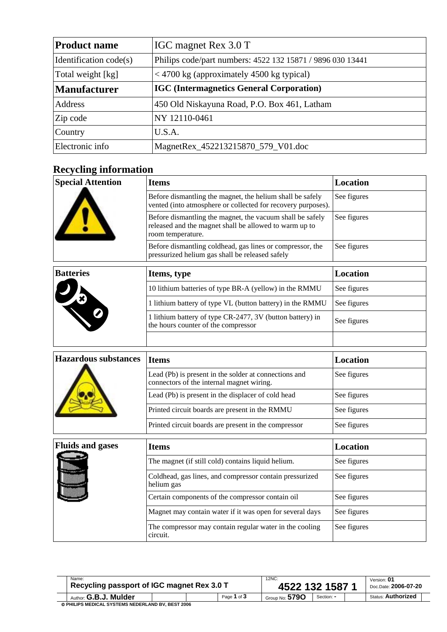| <b>Product name</b>                                              | IGC magnet Rex 3.0 T                                       |  |  |
|------------------------------------------------------------------|------------------------------------------------------------|--|--|
| Identification code(s)                                           | Philips code/part numbers: 4522 132 15871 / 9896 030 13441 |  |  |
| Total weight [kg]<br>$<$ 4700 kg (approximately 4500 kg typical) |                                                            |  |  |
| <b>Manufacturer</b>                                              | <b>IGC</b> (Intermagnetics General Corporation)            |  |  |
| Address                                                          | 450 Old Niskayuna Road, P.O. Box 461, Latham               |  |  |
| Zip code                                                         | NY 12110-0461                                              |  |  |
| Country                                                          | U.S.A.                                                     |  |  |
| Electronic info                                                  | MagnetRex_452213215870_579_V01.doc                         |  |  |

## **Recycling information**

| <b>Special Attention</b>    | <b>Items</b>                                                                                                                             | <b>Location</b> |  |  |
|-----------------------------|------------------------------------------------------------------------------------------------------------------------------------------|-----------------|--|--|
|                             | Before dismantling the magnet, the helium shall be safely<br>vented (into atmosphere or collected for recovery purposes).                | See figures     |  |  |
|                             | Before dismantling the magnet, the vacuum shall be safely<br>released and the magnet shall be allowed to warm up to<br>room temperature. | See figures     |  |  |
|                             | Before dismantling coldhead, gas lines or compressor, the<br>pressurized helium gas shall be released safely                             | See figures     |  |  |
| <b>Batteries</b>            | Items, type                                                                                                                              | <b>Location</b> |  |  |
|                             | 10 lithium batteries of type BR-A (yellow) in the RMMU                                                                                   | See figures     |  |  |
|                             | 1 lithium battery of type VL (button battery) in the RMMU                                                                                | See figures     |  |  |
|                             | 1 lithium battery of type CR-2477, 3V (button battery) in<br>the hours counter of the compressor                                         | See figures     |  |  |
|                             |                                                                                                                                          |                 |  |  |
| <b>Hazardous substances</b> | <b>Items</b>                                                                                                                             | <b>Location</b> |  |  |
|                             | Lead (Pb) is present in the solder at connections and<br>connectors of the internal magnet wiring.                                       | See figures     |  |  |
|                             | Lead (Pb) is present in the displacer of cold head                                                                                       | See figures     |  |  |
|                             | Printed circuit boards are present in the RMMU                                                                                           | See figures     |  |  |
|                             | Printed circuit boards are present in the compressor                                                                                     | See figures     |  |  |
| <b>Fluids and gases</b>     | <b>Items</b>                                                                                                                             | <b>Location</b> |  |  |
|                             | The magnet (if still cold) contains liquid helium.                                                                                       | See figures     |  |  |
|                             | Coldhead, gas lines, and compressor contain pressurized<br>helium gas                                                                    | See figures     |  |  |
|                             | Certain components of the compressor contain oil                                                                                         | See figures     |  |  |
|                             | Magnet may contain water if it was open for several days                                                                                 | See figures     |  |  |
|                             | The compressor may contain regular water in the cooling<br>circuit.                                                                      | See figures     |  |  |

| Name:                                      |  | 12NC:           | Version: 01          |            |                           |
|--------------------------------------------|--|-----------------|----------------------|------------|---------------------------|
| Recycling passport of IGC magnet Rex 3.0 T |  | 4522 132 1587 1 | Doc.Date: 2006-07-20 |            |                           |
| Author: G.B.J. Mulder                      |  | Page 1 of 3     | Group No: $5790$     | Section: - | <b>Status: Authorized</b> |

© **PHILIPS MEDICAL SYSTEMS NEDERLAND BV, BEST 2006**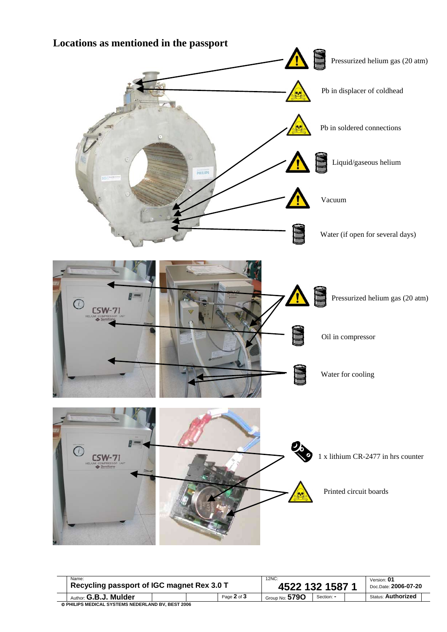

| Name:<br>Recycling passport of IGC magnet Rex 3.0 T |  |  | 12NC:<br>4522 132 1587 1 |                  |            | Version: 01<br>Doc.Date: 2006-07-20 |                           |  |
|-----------------------------------------------------|--|--|--------------------------|------------------|------------|-------------------------------------|---------------------------|--|
| Author: G.B.J. Mulder                               |  |  | Page 2 of 3              | Group No: $5790$ | Section: - |                                     | <b>Status: Authorized</b> |  |
| © PHILIPS MEDICAL SYSTEMS NEDERLAND BV, BEST 2006   |  |  |                          |                  |            |                                     |                           |  |